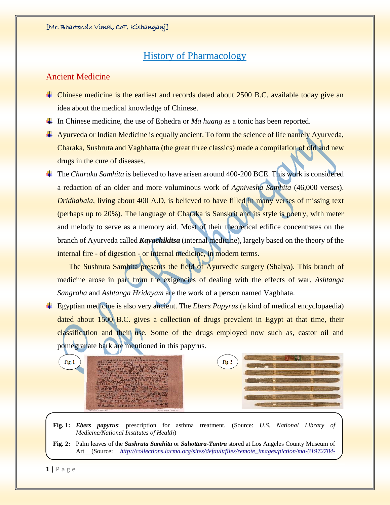## History of Pharmacology

#### Ancient Medicine

- $\overline{\phantom{a}}$  Chinese medicine is the earliest and records dated about 2500 B.C. available today give an idea about the medical knowledge of Chinese.
- **↓** In Chinese medicine, the use of Ephedra or *Ma huang* as a tonic has been reported.
- Ayurveda or Indian Medicine is equally ancient. To form the science of life namely Ayurveda, Charaka, Sushruta and Vagbhatta (the great three classics) made a compilation of old and new drugs in the cure of diseases.
- The *Charaka Samhita* is believed to have arisen around 400-200 BCE. This work is considered a redaction of an older and more voluminous work of *Agnivesha Samhita* (46,000 verses). *Dridhabala*, living about 400 A.D, is believed to have filled in many verses of missing text (perhaps up to 20%). The language of Charaka is Sanskrit and its style is poetry, with meter and melody to serve as a memory aid. Most of their theoretical edifice concentrates on the branch of Ayurveda called *Kayachikitsa* (internal medicine), largely based on the theory of the internal fire - of digestion - or internal medicine, in modern terms.

The Sushruta Samhita presents the field of Ayurvedic surgery (Shalya). This branch of medicine arose in part from the exigencies of dealing with the effects of war. *Ashtanga Sangraha* and *Ashtanga Hridayam* are the work of a person named Vagbhata.

Egyptian medicine is also very ancient. The *Ebers Papyrus* (a kind of medical encyclopaedia) dated about 1500 B.C. gives a collection of drugs prevalent in Egypt at that time, their classification and their use. Some of the drugs employed now such as, castor oil and pomegranate bark are mentioned in this papyrus.

|  | Fig. 1 | → 成立者本本本本書は「3の日11年ロ生本本本書本3冊<br>$311.41 + 2.4$ and $4.32$ $-1.4$ and $-2.1$ and $-1.4$<br>24 C = 10212 KIT 223-<br>mail: 2311 = mail: a = 2321 = 234<br>1330.41 AB - 1 C.u. - 1 C.u.<br>$2212122 = 102244122232 - 0$<br><b>STATE AND STATES AND ACTS TO THE</b><br>AGINAL MENT - WARE ISSED --<br><b>ATS PARTIES AND CONTRACTOR</b><br>さむ年前2311 一川会委長長田6317 ニエ<br>*   TAB 2 2 2 1 -   AK3 HK × 8 2 1 1 3 23 A 1 +<br>二時選択へ配生活と受け込み 面下のある 2012年 ストラー<br>□全3=ーロード→宝字を生またいは上をやる<br>$W = 3.5.5.44 \times 0.5.5$ Foreign $= 1.5.33$ H 1 For<br>du Bar del turch de la Lin<br>R. of FRANCISCO COMPLETED<br>FLANCISPERACHESSERVES<br>Thermor Borrow Target SV.<br>Associated Henning Chee | Fig. 2 |  |
|--|--------|-----------------------------------------------------------------------------------------------------------------------------------------------------------------------------------------------------------------------------------------------------------------------------------------------------------------------------------------------------------------------------------------------------------------------------------------------------------------------------------------------------------------------------------------------------------------------------------------------------------------------------------------------------------------------------------|--------|--|
|--|--------|-----------------------------------------------------------------------------------------------------------------------------------------------------------------------------------------------------------------------------------------------------------------------------------------------------------------------------------------------------------------------------------------------------------------------------------------------------------------------------------------------------------------------------------------------------------------------------------------------------------------------------------------------------------------------------------|--------|--|

- **Fig. 1:** *Ebers papyrus*: prescription for asthma treatment. (Source: *U.S. National Library of Medicine/National Institutes of Health*)
- **Fig. 2:** Palm leaves of the *Sushruta Samhita* or *Sahottara-Tantra* stored at Los Angeles County Museum of Art (Source: *[http://collections.lacma.org/sites/default/files/remote\\_images/piction/ma-31972784-](http://collections.lacma.org/sites/default/files/remote_images/piction/ma-31972784-O3.jpg)*

**1 |** P a g e

*[O3.jpg](http://collections.lacma.org/sites/default/files/remote_images/piction/ma-31972784-O3.jpg)*)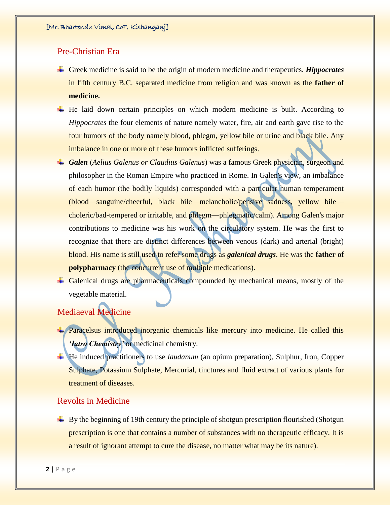#### Pre-Christian Era

- Greek medicine is said to be the origin of modern medicine and therapeutics. *Hippocrates*  in fifth century B.C. separated medicine from religion and was known as the **father of medicine.**
- $\ddot{\text{H}}$  He laid down certain principles on which modern medicine is built. According to *Hippocrates* the four elements of nature namely water, fire, air and earth gave rise to the four humors of the body namely blood, phlegm, yellow bile or urine and black bile. Any imbalance in one or more of these humors inflicted sufferings.
- *Galen* (*Aelius Galenus or Claudius Galenus*) was a famous Greek physician, surgeon and philosopher in the Roman Empire who practiced in Rome. In Galen's view, an imbalance of each humor (the bodily liquids) corresponded with a particular human temperament (blood—sanguine/cheerful, black bile—melancholic/pensive sadness, yellow bile choleric/bad-tempered or irritable, and phlegm—phlegmatic/calm). Among Galen's major contributions to medicine was his work on the circulatory system. He was the first to recognize that there are distinct differences between venous (dark) and arterial (bright) blood. His name is still used to refer some drugs as *galenical drugs*. He was the **father of polypharmacy** (the concurrent use of multiple medications).
- Galenical drugs are pharmaceuticals compounded by mechanical means, mostly of the vegetable material.

## Mediaeval Medicine

- **+** Paracelsus introduced inorganic chemicals like mercury into medicine. He called this *'Iatro Chemistry'* or medicinal chemistry.
- He induced practitioners to use *laudanum* (an opium preparation), Sulphur, Iron, Copper Sulphate, Potassium Sulphate, Mercurial, tinctures and fluid extract of various plants for treatment of diseases.

#### Revolts in Medicine

 $\overline{\phantom{a}}$  By the beginning of 19th century the principle of shotgun prescription flourished (Shotgun prescription is one that contains a number of substances with no therapeutic efficacy. It is a result of ignorant attempt to cure the disease, no matter what may be its nature).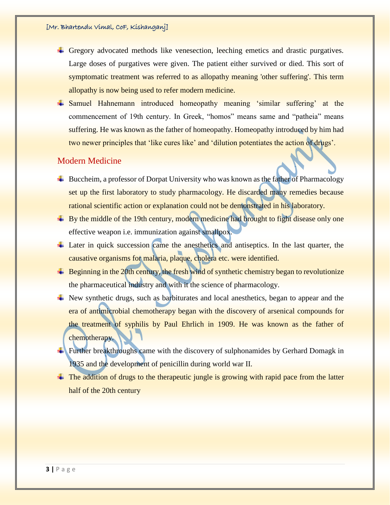- Gregory advocated methods like venesection, leeching emetics and drastic purgatives. Large doses of purgatives were given. The patient either survived or died. This sort of symptomatic treatment was referred to as allopathy meaning 'other suffering'. This term allopathy is now being used to refer modern medicine.
- Samuel Hahnemann introduced homeopathy meaning 'similar suffering' at the commencement of 19th century. In Greek, "homos" means same and "patheia" means suffering. He was known as the father of homeopathy. Homeopathy introduced by him had two newer principles that 'like cures like' and 'dilution potentiates the action of drugs'.

#### Modern Medicine

- $\overline{\phantom{a}}$  Buccheim, a professor of Dorpat University who was known as the father of Pharmacology set up the first laboratory to study pharmacology. He discarded many remedies because rational scientific action or explanation could not be demonstrated in his laboratory.
- $\overline{+}$  By the middle of the 19th century, modern medicine had brought to fight disease only one effective weapon i.e. immunization against smallpox.
- Later in quick succession came the anesthetics and antiseptics. In the last quarter, the causative organisms for malaria, plaque, cholera etc. were identified.
- $\ddot{\phantom{1}}$  Beginning in the 20th century, the fresh wind of synthetic chemistry began to revolutionize the pharmaceutical industry and with it the science of pharmacology.
- $\overline{\phantom{a}}$  New synthetic drugs, such as barbiturates and local anesthetics, began to appear and the era of antimicrobial chemotherapy began with the discovery of arsenical compounds for the treatment of syphilis by Paul Ehrlich in 1909. He was known as the father of chemotherapy.
- Further breakthroughs came with the discovery of sulphonamides by Gerhard Domagk in 1935 and the development of penicillin during world war II.
- $\pm$  The addition of drugs to the therapeutic jungle is growing with rapid pace from the latter half of the 20th century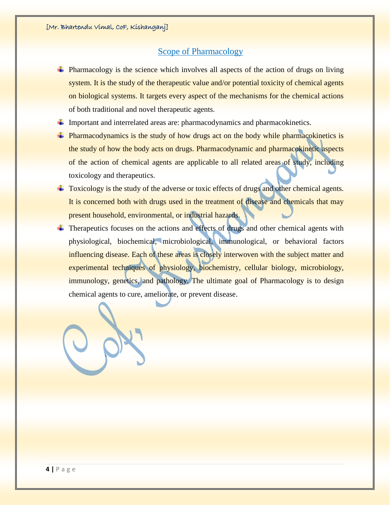#### Scope of Pharmacology

- $\ddot{\phantom{1}}$  Pharmacology is the science which involves all aspects of the action of drugs on living system. It is the study of the therapeutic value and/or potential toxicity of chemical agents on biological systems. It targets every aspect of the mechanisms for the chemical actions of both traditional and novel therapeutic agents.
- Important and interrelated areas are: pharmacodynamics and pharmacokinetics.
- Pharmacodynamics is the study of how drugs act on the body while pharmacokinetics is the study of how the body acts on drugs. Pharmacodynamic and pharmacokinetic aspects of the action of chemical agents are applicable to all related areas of study, including toxicology and therapeutics.
- Toxicology is the study of the adverse or toxic effects of drugs and other chemical agents. It is concerned both with drugs used in the treatment of disease and chemicals that may present household, environmental, or industrial hazards.
- $\overline{\phantom{a}}$  Therapeutics focuses on the actions and effects of drugs and other chemical agents with physiological, biochemical, microbiological, immunological, or behavioral factors influencing disease. Each of these areas is closely interwoven with the subject matter and experimental techniques of physiology, biochemistry, cellular biology, microbiology, immunology, genetics, and pathology. The ultimate goal of Pharmacology is to design chemical agents to cure, ameliorate, or prevent disease.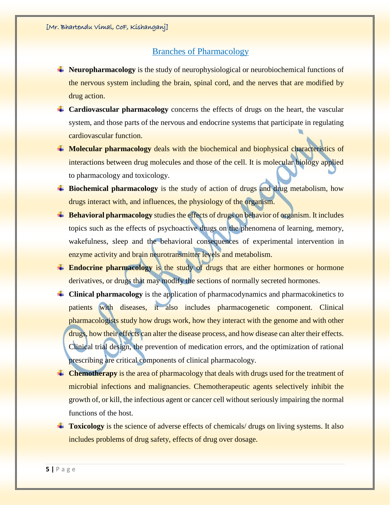### Branches of Pharmacology

- **Neuropharmacology** is the study of neurophysiological or neurobiochemical functions of the nervous system including the brain, spinal cord, and the nerves that are modified by drug action.
- **Cardiovascular pharmacology** concerns the effects of drugs on the heart, the vascular system, and those parts of the nervous and endocrine systems that participate in regulating cardiovascular function.
- **Molecular pharmacology** deals with the biochemical and biophysical characteristics of interactions between drug molecules and those of the cell. It is molecular biology applied to pharmacology and toxicology.
- **Exercise 4** Biochemical pharmacology is the study of action of drugs and drug metabolism, how drugs interact with, and influences, the physiology of the organism.
- **Example 1** Behavioral pharmacology studies the effects of drugs on behavior of organism. It includes topics such as the effects of psychoactive drugs on the phenomena of learning, memory, wakefulness, sleep and the behavioral consequences of experimental intervention in enzyme activity and brain neurotransmitter levels and metabolism.
- **Endocrine pharmacology** is the study of drugs that are either hormones or hormone derivatives, or drugs that may modify the sections of normally secreted hormones.
- **Clinical pharmacology** is the application of pharmacodynamics and pharmacokinetics to patients with diseases, it also includes pharmacogenetic component. Clinical pharmacologists study how drugs work, how they interact with the genome and with other drugs, how their effects can alter the disease process, and how disease can alter their effects. Clinical trial design, the prevention of medication errors, and the optimization of rational prescribing are critical components of clinical pharmacology.
- **Example 1** Chemotherapy is the area of pharmacology that deals with drugs used for the treatment of microbial infections and malignancies. Chemotherapeutic agents selectively inhibit the growth of, or kill, the infectious agent or cancer cell without seriously impairing the normal functions of the host.
- **Toxicology** is the science of adverse effects of chemicals/ drugs on living systems. It also includes problems of drug safety, effects of drug over dosage.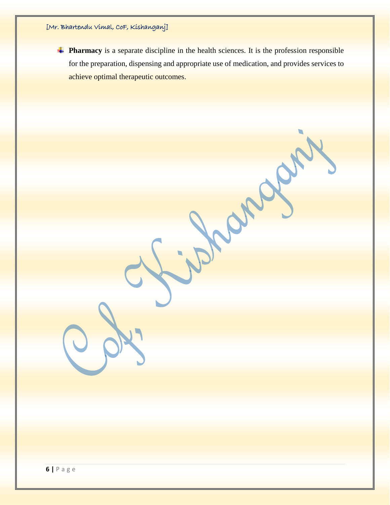**Pharmacy** is a separate discipline in the health sciences. It is the profession responsible for the preparation, dispensing and appropriate use of medication, and provides services to achieve optimal therapeutic outcomes.

ing one of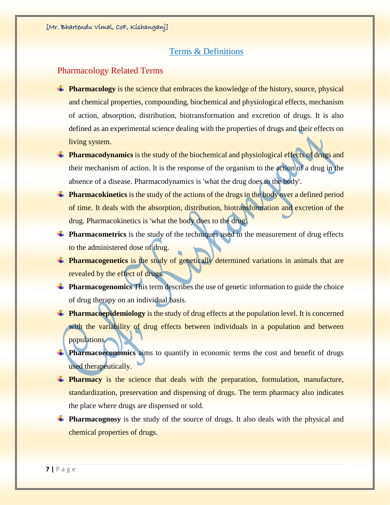#### Terms & Definitions

## Pharmacology Related Terms

- **Pharmacology** is the science that embraces the knowledge of the history, source, physical and chemical properties, compounding, biochemical and physiological effects, mechanism of action, absorption, distribution, biotransformation and excretion of drugs. It is also defined as an experimental science dealing with the properties of drugs and their effects on living system.
- **Pharmacodynamics** is the study of the biochemical and physiological effects of drugs and their mechanism of action. It is the response of the organism to the action of a drug in the absence of a disease. Pharmacodynamics is 'what the drug does to the body'.
- **Pharmacokinetics** is the study of the actions of the drugs in the body over a defined period of time. It deals with the absorption, distribution, biotransformation and excretion of the drug. Pharmacokinetics is 'what the body does to the drug'.
- **Pharmacometrics** is the study of the techniques used in the measurement of drug effects to the administered dose of drug.
- **Pharmacogenetics** is the study of genetically determined variations in animals that are revealed by the effect of drugs.
- **Pharmacogenomics** This term describes the use of genetic information to guide the choice of drug therapy on an individual basis.
- **Pharmacoepidemiology** is the study of drug effects at the population level. It is concerned with the variability of drug effects between individuals in a population and between populations.
- **Pharmacoeconomics** aims to quantify in economic terms the cost and benefit of drugs used therapeutically.
- **Pharmacy** is the science that deals with the preparation, formulation, manufacture, standardization, preservation and dispensing of drugs. The term pharmacy also indicates the place where drugs are dispensed or sold.
- **Pharmacognosy** is the study of the source of drugs. It also deals with the physical and chemical properties of drugs.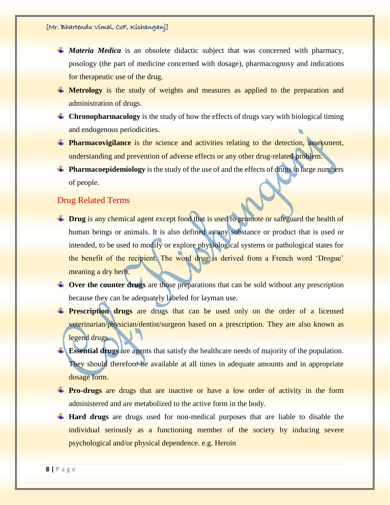- *Materia Medica* is an obsolete didactic subject that was concerned with pharmacy, posology (the part of medicine concerned with dosage), pharmacognosy and indications for therapeutic use of the drug.
- **H** Metrology is the study of weights and measures as applied to the preparation and administration of drugs.
- **Chronopharmacology** is the study of how the effects of drugs vary with biological timing and endogenous periodicities.
- **Pharmacovigilance** is the science and activities relating to the detection, assessment, understanding and prevention of adverse effects or any other drug-related problem.
- **Pharmacoepidemiology** is the study of the use of and the effects of drugs in large numbers of people.

### Drug Related Terms

- **Drug** is any chemical agent except food that is used to promote or safeguard the health of human beings or animals. It is also defined as any substance or product that is used or intended, to be used to modify or explore physiological systems or pathological states for the benefit of the recipient. The word drug is derived from a French word 'Drogue' meaning a dry herb.
- **L** Over the counter drugs are those preparations that can be sold without any prescription because they can be adequately labeled for layman use.
- **Prescription drugs** are drugs that can be used only on the order of a licensed veterinarian/physician/dentist/surgeon based on a prescription. They are also known as legend drugs.
- **Essential drugs** are agents that satisfy the healthcare needs of majority of the population. They should therefore be available at all times in adequate amounts and in appropriate dosage form.
- **Pro-drugs** are drugs that are inactive or have a low order of activity in the form administered and are metabolized to the active form in the body.
- **Hard drugs** are drugs used for non-medical purposes that are liable to disable the individual seriously as a functioning member of the society by inducing severe psychological and/or physical dependence. e.g. Heroin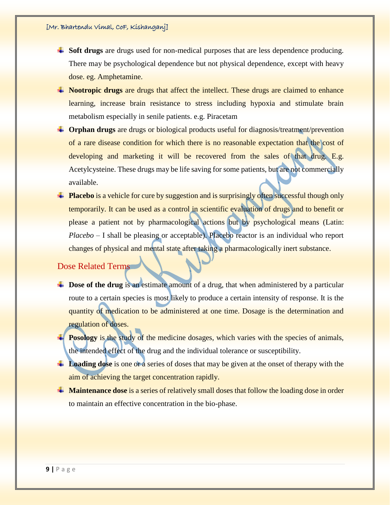- **Soft drugs** are drugs used for non-medical purposes that are less dependence producing. There may be psychological dependence but not physical dependence, except with heavy dose. eg. Amphetamine.
- **Nootropic drugs** are drugs that affect the intellect. These drugs are claimed to enhance learning, increase brain resistance to stress including hypoxia and stimulate brain metabolism especially in senile patients. e.g. Piracetam
- $\blacktriangle$  **Orphan drugs** are drugs or biological products useful for diagnosis/treatment/prevention of a rare disease condition for which there is no reasonable expectation that the cost of developing and marketing it will be recovered from the sales of that drug. E.g. Acetylcysteine. These drugs may be life saving for some patients, but are not commercially available.
- **Placebo** is a vehicle for cure by suggestion and is surprisingly often successful though only temporarily. It can be used as a control in scientific evaluation of drugs and to benefit or please a patient not by pharmacological actions but by psychological means (Latin: *Placebo* – I shall be pleasing or acceptable). Placebo reactor is an individual who report changes of physical and mental state after taking a pharmacologically inert substance.

## Dose Related Terms

- **L** Dose of the drug is an estimate amount of a drug, that when administered by a particular route to a certain species is most likely to produce a certain intensity of response. It is the quantity of medication to be administered at one time. Dosage is the determination and regulation of doses.
- **Posology** is the study of the medicine dosages, which varies with the species of animals, the intended effect of the drug and the individual tolerance or susceptibility.
- **Loading dose** is one or a series of doses that may be given at the onset of therapy with the aim of achieving the target concentration rapidly.
- **Maintenance dose** is a series of relatively small doses that follow the loading dose in order to maintain an effective concentration in the bio-phase.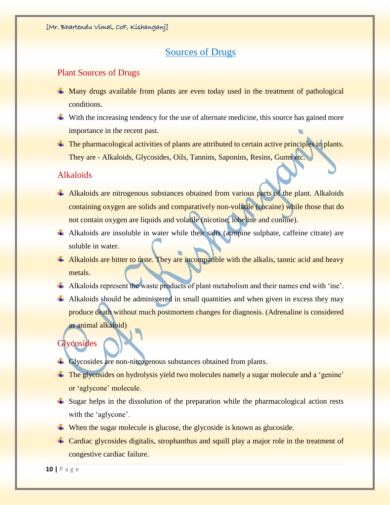# Sources of Drugs

#### Plant Sources of Drugs

- Many drugs available from plants are even today used in the treatment of pathological conditions.
- $\downarrow$  With the increasing tendency for the use of alternate medicine, this source has gained more importance in the recent past.
- $\pm$  The pharmacological activities of plants are attributed to certain active principles in plants. They are - Alkaloids, Glycosides, Oils, Tannins, Saponins, Resins, Gums etc.

#### Alkaloids

- Alkaloids are nitrogenous substances obtained from various parts of the plant. Alkaloids containing oxygen are solids and comparatively non-volatile (cocaine) while those that do not contain oxygen are liquids and volatile (nicotine, lobeline and coniine).
- Alkaloids are insoluble in water while their salts (atropine sulphate, caffeine citrate) are soluble in water.
- 4 Alkaloids are bitter to taste. They are incompatible with the alkalis, tannic acid and heavy metals.
- Alkaloids represent the waste products of plant metabolism and their names end with 'ine'.
- $\overline{+}$  Alkaloids should be administered in small quantities and when given in excess they may produce death without much postmortem changes for diagnosis. (Adrenaline is considered as animal alkaloid)

#### **Glycosides**

- <sup>4</sup> Glycosides are non-nitrogenous substances obtained from plants.
- <sup> $\pm$ </sup> The glycosides on hydrolysis yield two molecules namely a sugar molecule and a 'genine' or 'aglycone' molecule.
- $\overline{\phantom{a}}$  Sugar helps in the dissolution of the preparation while the pharmacological action rests with the 'aglycone'.
- $\overline{\phantom{a}}$  When the sugar molecule is glucose, the glycoside is known as glucoside.
- Cardiac glycosides digitalis, strophanthus and squill play a major role in the treatment of congestive cardiac failure.